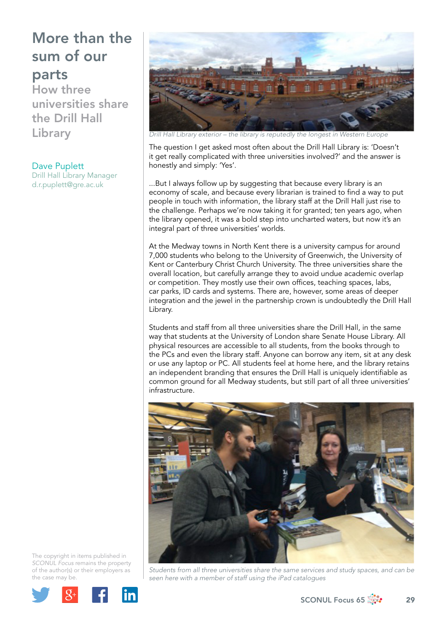How three universities share the Drill Hall Library

Dave Puplett Drill Hall Library Manager [d.r.puplett@gre.ac.uk](mailto:d.r.puplett@gre.ac.uk)



*Drill Hall Library exterior – the library is reputedly the longest in* 

The question I get asked most often about the Drill Hall Library is: 'Doesn't it get really complicated with three universities involved?' and the answer is honestly and simply: 'Yes'.

...But I always follow up by suggesting that because every library is an economy of scale, and because every librarian is trained to find a way to put people in touch with information, the library staff at the Drill Hall just rise to the challenge. Perhaps we're now taking it for granted; ten years ago, when the library opened, it was a bold step into uncharted waters, but now it's an integral part of three universities' worlds.

At the Medway towns in North Kent there is a university campus for around 7,000 students who belong to the University of Greenwich, the University of Kent or Canterbury Christ Church University. The three universities share the overall location, but carefully arrange they to avoid undue academic overlap or competition. They mostly use their own offices, teaching spaces, labs, car parks, ID cards and systems. There are, however, some areas of deeper integration and the jewel in the partnership crown is undoubtedly the Drill Hall Library.

Students and staff from all three universities share the Drill Hall, in the same way that students at the University of London share Senate House Library. All physical resources are accessible to all students, from the books through to the PCs and even the library staff. Anyone can borrow any item, sit at any desk or use any laptop or PC. All students feel at home here, and the library retains an independent branding that ensures the Drill Hall is uniquely identifiable as common ground for all Medway students, but still part of all three universities' infrastructure.



*Students from all three universities share the same services and study spaces, and can be seen here with a member of staff using the iPad catalogues*





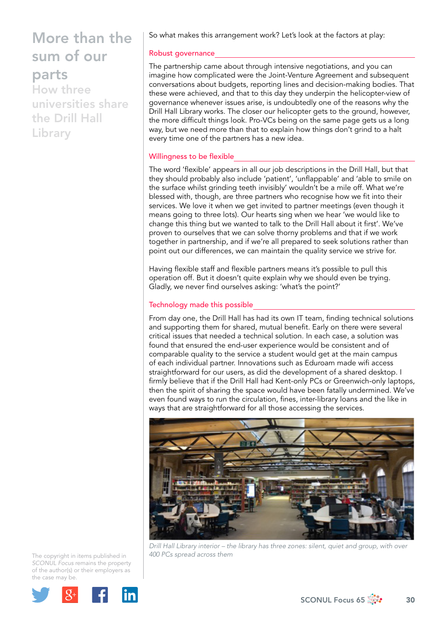How three universities share the Drill Hall Library

So what makes this arrangement work? Let's look at the factors at play:

### Robust governance

The partnership came about through intensive negotiations, and you can imagine how complicated were the Joint-Venture Agreement and subsequent conversations about budgets, reporting lines and decision-making bodies. That these were achieved, and that to this day they underpin the helicopter-view of governance whenever issues arise, is undoubtedly one of the reasons why the Drill Hall Library works. The closer our helicopter gets to the ground, however, the more difficult things look. Pro-VCs being on the same page gets us a long way, but we need more than that to explain how things don't grind to a halt every time one of the partners has a new idea.

### Willingness to be flexible

The word 'flexible' appears in all our job descriptions in the Drill Hall, but that they should probably also include 'patient', 'unflappable' and 'able to smile on the surface whilst grinding teeth invisibly' wouldn't be a mile off. What we're blessed with, though, are three partners who recognise how we fit into their services. We love it when we get invited to partner meetings (even though it means going to three lots). Our hearts sing when we hear 'we would like to change this thing but we wanted to talk to the Drill Hall about it first'. We've proven to ourselves that we can solve thorny problems and that if we work together in partnership, and if we're all prepared to seek solutions rather than point out our differences, we can maintain the quality service we strive for.

Having flexible staff and flexible partners means it's possible to pull this operation off. But it doesn't quite explain why we should even be trying. Gladly, we never find ourselves asking: 'what's the point?'

### Technology made this possible

From day one, the Drill Hall has had its own IT team, finding technical solutions and supporting them for shared, mutual benefit. Early on there were several critical issues that needed a technical solution. In each case, a solution was found that ensured the end-user experience would be consistent and of comparable quality to the service a student would get at the main campus of each individual partner. Innovations such as Eduroam made wifi access straightforward for our users, as did the development of a shared desktop. I firmly believe that if the Drill Hall had Kent-only PCs or Greenwich-only laptops, then the spirit of sharing the space would have been fatally undermined. We've even found ways to run the circulation, fines, inter-library loans and the like in ways that are straightforward for all those accessing the services.



*Drill Hall Library interior – the library has three zones: silent, quiet and group, with over 400 PCs spread across them* 

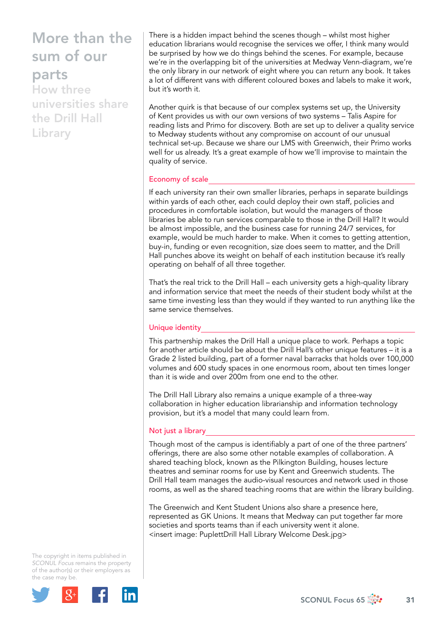How three universities share the Drill Hall **Library** 

There is a hidden impact behind the scenes though – whilst most higher education librarians would recognise the services we offer, I think many would be surprised by how we do things behind the scenes. For example, because we're in the overlapping bit of the universities at Medway Venn-diagram, we're the only library in our network of eight where you can return any book. It takes a lot of different vans with different coloured boxes and labels to make it work, but it's worth it.

Another quirk is that because of our complex systems set up, the University of Kent provides us with our own versions of two systems – Talis Aspire for reading lists and Primo for discovery. Both are set up to deliver a quality service to Medway students without any compromise on account of our unusual technical set-up. Because we share our LMS with Greenwich, their Primo works well for us already. It's a great example of how we'll improvise to maintain the quality of service.

#### Economy of scale

If each university ran their own smaller libraries, perhaps in separate buildings within yards of each other, each could deploy their own staff, policies and procedures in comfortable isolation, but would the managers of those libraries be able to run services comparable to those in the Drill Hall? It would be almost impossible, and the business case for running 24/7 services, for example, would be much harder to make. When it comes to getting attention, buy-in, funding or even recognition, size does seem to matter, and the Drill Hall punches above its weight on behalf of each institution because it's really operating on behalf of all three together.

That's the real trick to the Drill Hall – each university gets a high-quality library and information service that meet the needs of their student body whilst at the same time investing less than they would if they wanted to run anything like the same service themselves.

### Unique identity

This partnership makes the Drill Hall a unique place to work. Perhaps a topic for another article should be about the Drill Hall's other unique features – it is a Grade 2 listed building, part of a former naval barracks that holds over 100,000 volumes and 600 study spaces in one enormous room, about ten times longer than it is wide and over 200m from one end to the other.

The Drill Hall Library also remains a unique example of a three-way collaboration in higher education librarianship and information technology provision, but it's a model that many could learn from.

## Not just a library

Though most of the campus is identifiably a part of one of the three partners' offerings, there are also some other notable examples of collaboration. A shared teaching block, known as the Pilkington Building, houses lecture theatres and seminar rooms for use by Kent and Greenwich students. The Drill Hall team manages the audio-visual resources and network used in those rooms, as well as the shared teaching rooms that are within the library building.

The Greenwich and Kent Student Unions also share a presence here, represented as GK Unions. It means that Medway can put together far more societies and sports teams than if each university went it alone. <insert image: PuplettDrill Hall Library Welcome Desk.jpg>